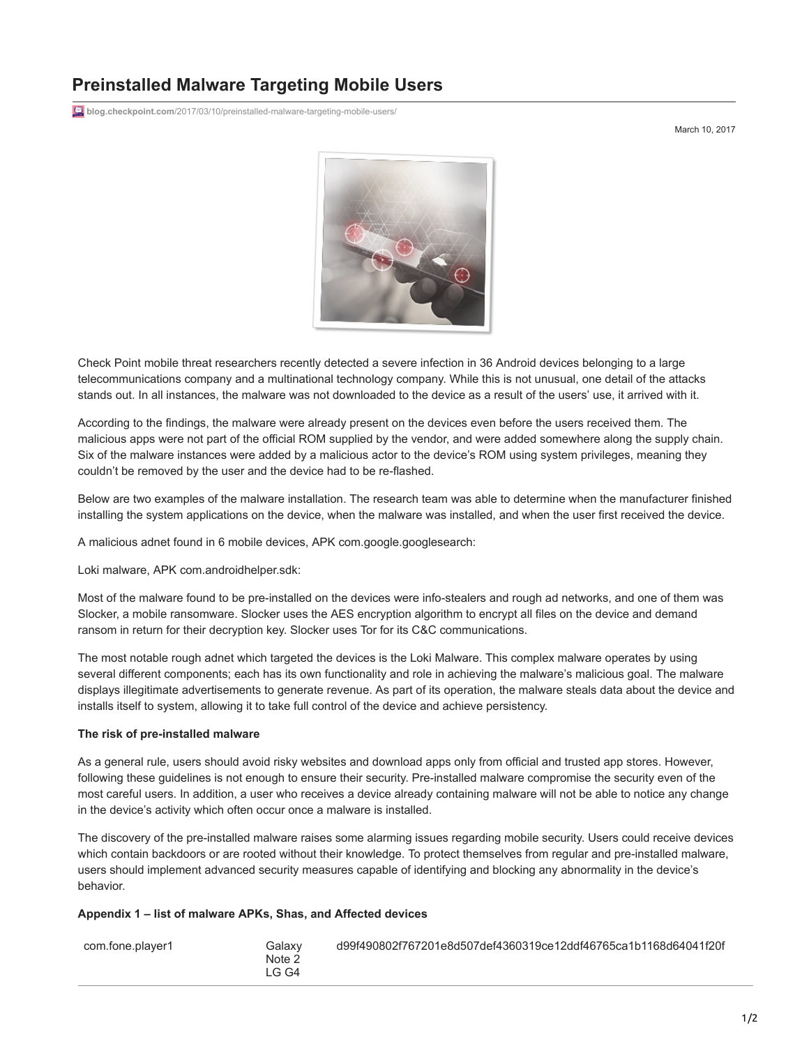## **Preinstalled Malware Targeting Mobile Users**

blog.checkpoint.com[/2017/03/10/preinstalled-malware-targeting-mobile-users/](http://blog.checkpoint.com/2017/03/10/preinstalled-malware-targeting-mobile-users/)

March 10, 2017



Check Point mobile threat researchers recently detected a severe infection in 36 Android devices belonging to a large telecommunications company and a multinational technology company. While this is not unusual, one detail of the attacks stands out. In all instances, the malware was not downloaded to the device as a result of the users' use, it arrived with it.

According to the findings, the malware were already present on the devices even before the users received them. The malicious apps were not part of the official ROM supplied by the vendor, and were added somewhere along the supply chain. Six of the malware instances were added by a malicious actor to the device's ROM using system privileges, meaning they couldn't be removed by the user and the device had to be re-flashed.

Below are two examples of the malware installation. The research team was able to determine when the manufacturer finished installing the system applications on the device, when the malware was installed, and when the user first received the device.

A malicious adnet found in 6 mobile devices, APK com.google.googlesearch:

Loki malware, APK com.androidhelper.sdk:

Most of the malware found to be pre-installed on the devices were info-stealers and rough ad networks, and one of them was Slocker, a mobile ransomware. Slocker uses the AES encryption algorithm to encrypt all files on the device and demand ransom in return for their decryption key. Slocker uses Tor for its C&C communications.

The most notable rough adnet which targeted the devices is the Loki Malware. This complex malware operates by using several different components; each has its own functionality and role in achieving the malware's malicious goal. The malware displays illegitimate advertisements to generate revenue. As part of its operation, the malware steals data about the device and installs itself to system, allowing it to take full control of the device and achieve persistency.

## **The risk of pre-installed malware**

As a general rule, users should avoid risky websites and download apps only from official and trusted app stores. However, following these guidelines is not enough to ensure their security. Pre-installed malware compromise the security even of the most careful users. In addition, a user who receives a device already containing malware will not be able to notice any change in the device's activity which often occur once a malware is installed.

The discovery of the pre-installed malware raises some alarming issues regarding mobile security. Users could receive devices which contain backdoors or are rooted without their knowledge. To protect themselves from regular and pre-installed malware, users should implement advanced security measures capable of identifying and blocking any abnormality in the device's behavior.

## **Appendix 1 – list of malware APKs, Shas, and Affected devices**

| Galaxv<br>com.fone.player1<br>Note 2<br>I G G4 | d99f490802f767201e8d507def4360319ce12ddf46765ca1b1168d64041f20f |
|------------------------------------------------|-----------------------------------------------------------------|
|------------------------------------------------|-----------------------------------------------------------------|